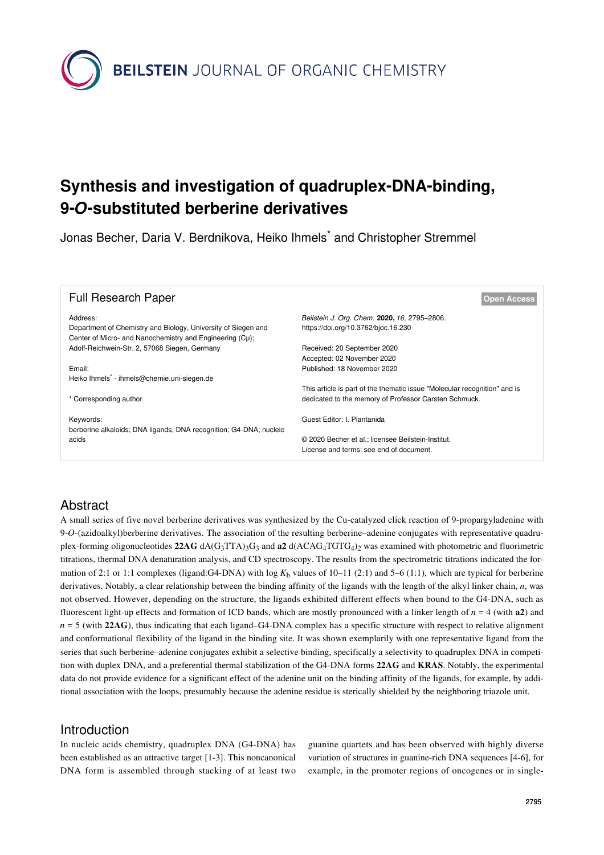**BEILSTEIN** JOURNAL OF ORGANIC CHEMISTRY

# **Synthesis and investigation of quadruplex-DNA-binding, 9-***O***-substituted berberine derivatives**

Jonas Becher, Daria V. Berdnikova, Heiko Ihmels<sup>\*</sup> and Christopher Stremmel

| <b>Full Research Paper</b>                                                | <b>Open Access</b>                                                                  |
|---------------------------------------------------------------------------|-------------------------------------------------------------------------------------|
| Address:<br>Department of Chemistry and Biology, University of Siegen and | Beilstein J. Org. Chem. 2020, 16, 2795-2806.<br>https://doi.org/10.3762/bjoc.16.230 |
| Center of Micro- and Nanochemistry and Engineering (Cu);                  |                                                                                     |
| Adolf-Reichwein-Str. 2, 57068 Siegen, Germany                             | Received: 20 September 2020                                                         |
|                                                                           | Accepted: 02 November 2020                                                          |
| Email:                                                                    | Published: 18 November 2020                                                         |
| Heiko Ihmels <sup>*</sup> - ihmels@chemie.uni-siegen.de                   |                                                                                     |
|                                                                           | This article is part of the thematic issue "Molecular recognition" and is           |
| * Corresponding author                                                    | dedicated to the memory of Professor Carsten Schmuck.                               |
|                                                                           |                                                                                     |
| Keywords:                                                                 | Guest Editor: I. Piantanida                                                         |
| berberine alkaloids; DNA ligands; DNA recognition; G4-DNA; nucleic        |                                                                                     |
| acids                                                                     | © 2020 Becher et al.; licensee Beilstein-Institut.                                  |
|                                                                           | License and terms: see end of document.                                             |

# Abstract

A small series of five novel berberine derivatives was synthesized by the Cu-catalyzed click reaction of 9-propargyladenine with 9-*O*-(azidoalkyl)berberine derivatives. The association of the resulting berberine–adenine conjugates with representative quadruplex-forming oligonucleotides  $22AG \, dA(G_3TTA)$ <sub>3</sub>G<sub>3</sub> and  $a2 \, d(ACAG_4TGTG_4)$ <sub>2</sub> was examined with photometric and fluorimetric titrations, thermal DNA denaturation analysis, and CD spectroscopy. The results from the spectrometric titrations indicated the formation of 2:1 or 1:1 complexes (ligand:G4-DNA) with log  $K_b$  values of 10–11 (2:1) and 5–6 (1:1), which are typical for berberine derivatives. Notably, a clear relationship between the binding affinity of the ligands with the length of the alkyl linker chain, *n*, was not observed. However, depending on the structure, the ligands exhibited different effects when bound to the G4-DNA, such as fluorescent light-up effects and formation of ICD bands, which are mostly pronounced with a linker length of *n* = 4 (with **a2**) and *n* = 5 (with **22AG**), thus indicating that each ligand–G4-DNA complex has a specific structure with respect to relative alignment and conformational flexibility of the ligand in the binding site. It was shown exemplarily with one representative ligand from the series that such berberine–adenine conjugates exhibit a selective binding, specifically a selectivity to quadruplex DNA in competition with duplex DNA, and a preferential thermal stabilization of the G4-DNA forms **22AG** and **KRAS**. Notably, the experimental data do not provide evidence for a significant effect of the adenine unit on the binding affinity of the ligands, for example, by additional association with the loops, presumably because the adenine residue is sterically shielded by the neighboring triazole unit.

# Introduction

In nucleic acids chemistry, quadruplex DNA (G4-DNA) has been established as an attractive target [\[1-3\].](#page-9-0) This noncanonical DNA form is assembled through stacking of at least two guanine quartets and has been observed with highly diverse variation of structures in guanine-rich DNA sequences [\[4-6\]](#page-9-1), for example, in the promoter regions of oncogenes or in single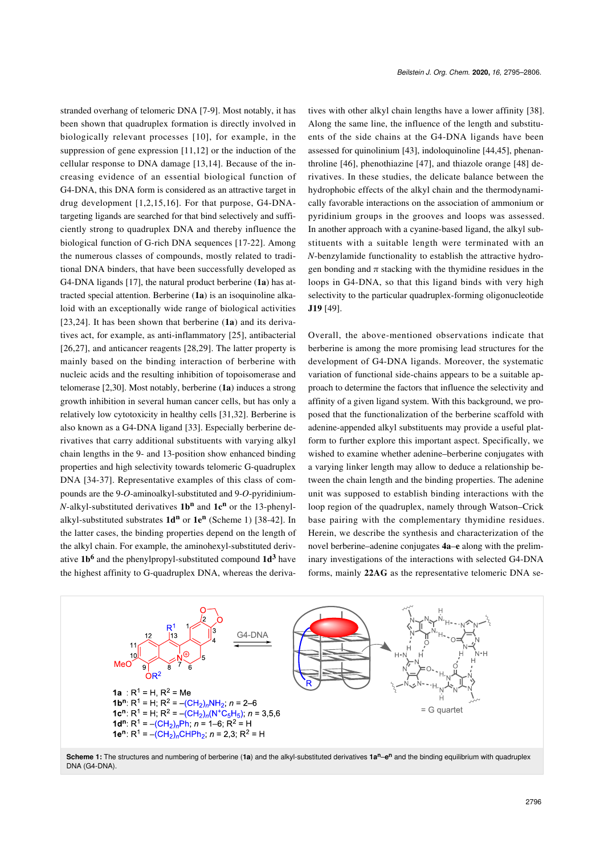stranded overhang of telomeric DNA [\[7-9\].](#page-9-2) Most notably, it has been shown that quadruplex formation is directly involved in biologically relevant processes [\[10\]](#page-9-3), for example, in the suppression of gene expression [\[11,12\]](#page-10-0) or the induction of the cellular response to DNA damage [\[13,14\]](#page-10-1). Because of the increasing evidence of an essential biological function of G4-DNA, this DNA form is considered as an attractive target in drug development [\[1,2,15,16\]](#page-9-0). For that purpose, G4-DNAtargeting ligands are searched for that bind selectively and sufficiently strong to quadruplex DNA and thereby influence the biological function of G-rich DNA sequences [\[17-22\]](#page-10-2). Among the numerous classes of compounds, mostly related to traditional DNA binders, that have been successfully developed as G4-DNA ligands [\[17\],](#page-10-2) the natural product berberine (**1a**) has attracted special attention. Berberine (**1a**) is an isoquinoline alkaloid with an exceptionally wide range of biological activities [\[23,24\].](#page-10-3) It has been shown that berberine (**1a**) and its derivatives act, for example, as anti-inflammatory [\[25\],](#page-10-4) antibacterial [\[26,27\]](#page-10-5), and anticancer reagents [\[28,29\]](#page-10-6). The latter property is mainly based on the binding interaction of berberine with nucleic acids and the resulting inhibition of topoisomerase and telomerase [\[2,30\]](#page-9-4). Most notably, berberine (**1a**) induces a strong growth inhibition in several human cancer cells, but has only a relatively low cytotoxicity in healthy cells [\[31,32\]](#page-10-7). Berberine is also known as a G4-DNA ligand [\[33\]](#page-10-8). Especially berberine derivatives that carry additional substituents with varying alkyl chain lengths in the 9- and 13-position show enhanced binding properties and high selectivity towards telomeric G-quadruplex DNA [\[34-37\]](#page-10-9). Representative examples of this class of compounds are the 9-*O*-aminoalkyl-substituted and 9-*O*-pyridinium-*N*-alkyl-substituted derivatives **1b<sup>n</sup>** and **1c<sup>n</sup>** or the 13-phenylalkyl-substituted substrates **1d<sup>n</sup>** or **1e<sup>n</sup>** ([Scheme 1](#page-1-0)) [\[38-42\].](#page-10-10) In the latter cases, the binding properties depend on the length of the alkyl chain. For example, the aminohexyl-substituted derivative **1b<sup>6</sup>** and the phenylpropyl-substituted compound **1d<sup>3</sup>** have the highest affinity to G-quadruplex DNA, whereas the derivatives with other alkyl chain lengths have a lower affinity [\[38\]](#page-10-10). Along the same line, the influence of the length and substituents of the side chains at the G4-DNA ligands have been assessed for quinolinium [\[43\]](#page-10-11), indoloquinoline [\[44,45\],](#page-10-12) phenanthroline [\[46\]](#page-10-13), phenothiazine [\[47\]](#page-10-14), and thiazole orange [\[48\]](#page-10-15) derivatives. In these studies, the delicate balance between the hydrophobic effects of the alkyl chain and the thermodynamically favorable interactions on the association of ammonium or pyridinium groups in the grooves and loops was assessed. In another approach with a cyanine-based ligand, the alkyl substituents with a suitable length were terminated with an *N*-benzylamide functionality to establish the attractive hydrogen bonding and  $\pi$  stacking with the thymidine residues in the loops in G4-DNA, so that this ligand binds with very high selectivity to the particular quadruplex-forming oligonucleotide **J19** [\[49\].](#page-10-16)

Overall, the above-mentioned observations indicate that berberine is among the more promising lead structures for the development of G4-DNA ligands. Moreover, the systematic variation of functional side-chains appears to be a suitable approach to determine the factors that influence the selectivity and affinity of a given ligand system. With this background, we proposed that the functionalization of the berberine scaffold with adenine-appended alkyl substituents may provide a useful platform to further explore this important aspect. Specifically, we wished to examine whether adenine–berberine conjugates with a varying linker length may allow to deduce a relationship between the chain length and the binding properties. The adenine unit was supposed to establish binding interactions with the loop region of the quadruplex, namely through Watson–Crick base pairing with the complementary thymidine residues. Herein, we describe the synthesis and characterization of the novel berberine–adenine conjugates **4a**–**e** along with the preliminary investigations of the interactions with selected G4-DNA forms, mainly **22AG** as the representative telomeric DNA se-

<span id="page-1-0"></span>

**Scheme 1:** The structures and numbering of berberine (**1a**) and the alkyl-substituted derivatives **1an**–**e <sup>n</sup>** and the binding equilibrium with quadruplex DNA (G4-DNA).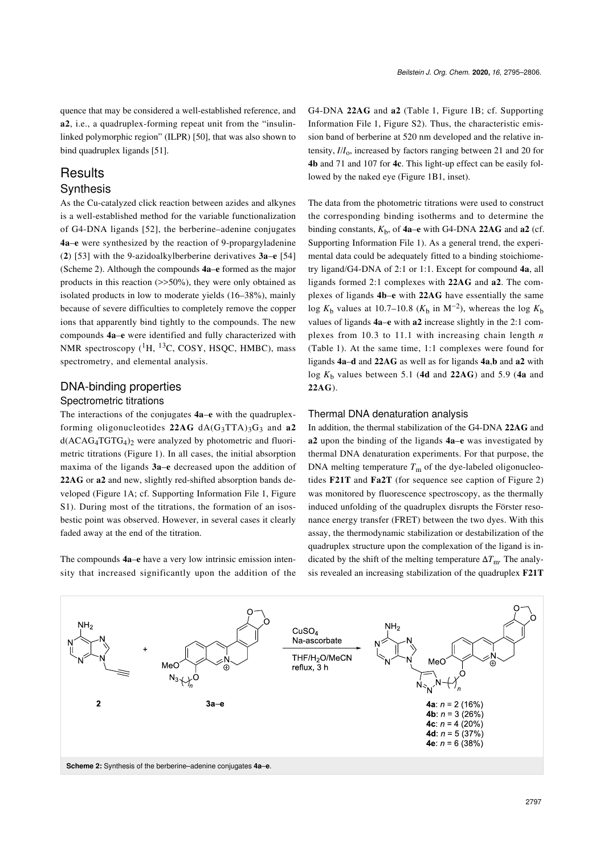quence that may be considered a well-established reference, and **a2**, i.e., a quadruplex-forming repeat unit from the "insulinlinked polymorphic region" (ILPR) [\[50\]](#page-10-17), that was also shown to bind quadruplex ligands [\[51\]](#page-10-18).

# **Results**

#### **Synthesis**

As the Cu-catalyzed click reaction between azides and alkynes is a well-established method for the variable functionalization of G4-DNA ligands [\[52\],](#page-10-19) the berberine–adenine conjugates **4a**–**e** were synthesized by the reaction of 9-propargyladenine (**2**) [\[53\]](#page-10-20) with the 9-azidoalkylberberine derivatives **3a**–**e** [\[54\]](#page-10-21) ([Scheme 2\)](#page-2-0). Although the compounds **4a**–**e** formed as the major products in this reaction  $(\gg 50\%)$ , they were only obtained as isolated products in low to moderate yields (16–38%), mainly because of severe difficulties to completely remove the copper ions that apparently bind tightly to the compounds. The new compounds **4a**–**e** were identified and fully characterized with NMR spectroscopy  $(^1H, {}^{13}C, COSY, HSQC, HMBC)$ , mass spectrometry, and elemental analysis.

#### DNA-binding properties

#### Spectrometric titrations

The interactions of the conjugates **4a**–**e** with the quadruplexforming oligonucleotides  $22AG \, dA(G_3TTA)_3G_3$  and  $a2$  $d(ACAG<sub>4</sub>TGTG<sub>4</sub>)<sub>2</sub>$  were analyzed by photometric and fluorimetric titrations ([Figure 1](#page-3-0)). In all cases, the initial absorption maxima of the ligands **3a**–**e** decreased upon the addition of **22AG** or **a2** and new, slightly red-shifted absorption bands developed ([Figure 1A](#page-3-0); cf. [Supporting Information File 1](#page-9-5), Figure S1). During most of the titrations, the formation of an isosbestic point was observed. However, in several cases it clearly faded away at the end of the titration.

The compounds **4a**–**e** have a very low intrinsic emission intensity that increased significantly upon the addition of the G4-DNA **22AG** and **a2** ([Table 1](#page-3-1), [Figure 1B](#page-3-0); cf. [Supporting](#page-9-5) [Information File 1,](#page-9-5) Figure S2). Thus, the characteristic emission band of berberine at 520 nm developed and the relative intensity,  $I/I_0$ , increased by factors ranging between 21 and 20 for **4b** and 71 and 107 for **4c**. This light-up effect can be easily followed by the naked eye [\(Figure 1B1](#page-3-0), inset).

The data from the photometric titrations were used to construct the corresponding binding isotherms and to determine the binding constants,  $K<sub>b</sub>$ , of  $4a-e$  with G4-DNA 22AG and  $a2$  (cf. [Supporting Information File 1\)](#page-9-5). As a general trend, the experimental data could be adequately fitted to a binding stoichiometry ligand/G4-DNA of 2:1 or 1:1. Except for compound **4a**, all ligands formed 2:1 complexes with **22AG** and **a2**. The complexes of ligands **4b**–**e** with **22AG** have essentially the same log  $K<sub>b</sub>$  values at 10.7–10.8 ( $K<sub>b</sub>$  in M<sup>-2</sup>), whereas the log  $K<sub>b</sub>$ values of ligands **4a**–**e** with **a2** increase slightly in the 2:1 complexes from 10.3 to 11.1 with increasing chain length *n* ([Table 1\)](#page-3-1). At the same time, 1:1 complexes were found for ligands **4a**–**d** and **22AG** as well as for ligands **4a**,**b** and **a2** with log  $K<sub>b</sub>$  values between 5.1 (4d and 22AG) and 5.9 (4a and **22AG**).

#### Thermal DNA denaturation analysis

In addition, the thermal stabilization of the G4-DNA **22AG** and **a2** upon the binding of the ligands **4a**–**e** was investigated by thermal DNA denaturation experiments. For that purpose, the DNA melting temperature  $T<sub>m</sub>$  of the dye-labeled oligonucleotides **F21T** and **Fa2T** (for sequence see caption of [Figure 2](#page-4-0)) was monitored by fluorescence spectroscopy, as the thermally induced unfolding of the quadruplex disrupts the Förster resonance energy transfer (FRET) between the two dyes. With this assay, the thermodynamic stabilization or destabilization of the quadruplex structure upon the complexation of the ligand is indicated by the shift of the melting temperature  $\Delta T_{\text{m}}$ . The analysis revealed an increasing stabilization of the quadruplex **F21T**

<span id="page-2-0"></span>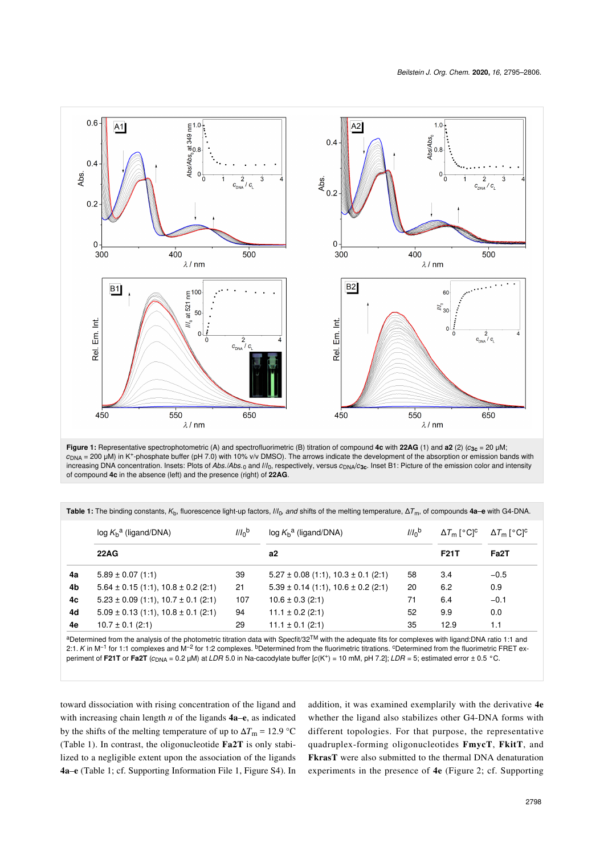<span id="page-3-0"></span>

**Figure 1:** Representative spectrophotometric (A) and spectrofluorimetric (B) titration of compound **4c** with **22AG** (1) and **a2** (2) (*c***3c** = 20 μM;  $c<sub>DNA</sub>$  = 200 μM) in K<sup>+</sup>-phosphate buffer (pH 7.0) with 10% v/v DMSO). The arrows indicate the development of the absorption or emission bands with increasing DNA concentration. Insets: Plots of Abs./Abs.<sub>0</sub> and *I/I*<sub>0</sub>, respectively, versus  $c_{\text{DNA}}/c_{\text{3c}}$ . Inset B1: Picture of the emission color and intensity of compound **4c** in the absence (left) and the presence (right) of **22AG**.

<span id="page-3-1"></span>**Table 1:** The binding constants, *K*b, fluorescence light-up factors, *I*/*I*0*, and* shifts of the melting temperature, Δ*T*m, of compounds **4a**–**e** with G4-DNA.

|    | $log Kba$ (ligand/DNA)                      | 1/10 <sup>b</sup> | $log Kba$ (ligand/DNA)                      | 1/10 <sub>p</sub> | $\Delta T_{\rm m}$ [ $^{\circ}$ C] <sup>c</sup> | $\Delta T_{\rm m}$ [ $^{\circ}$ C] <sup>c</sup> |
|----|---------------------------------------------|-------------------|---------------------------------------------|-------------------|-------------------------------------------------|-------------------------------------------------|
|    | <b>22AG</b>                                 |                   | a2                                          |                   | <b>F21T</b>                                     | Fa <sub>2</sub> T                               |
| 4a | $5.89 \pm 0.07$ (1:1)                       | 39                | $5.27 \pm 0.08$ (1:1), $10.3 \pm 0.1$ (2:1) | 58                | 3.4                                             | $-0.5$                                          |
| 4b | $5.64 \pm 0.15$ (1:1), $10.8 \pm 0.2$ (2:1) | 21                | $5.39 \pm 0.14$ (1:1), $10.6 \pm 0.2$ (2:1) | 20                | 6.2                                             | 0.9                                             |
| 4c | $5.23 \pm 0.09$ (1:1), $10.7 \pm 0.1$ (2:1) | 107               | $10.6 \pm 0.3$ (2:1)                        | 71                | 6.4                                             | $-0.1$                                          |
| 4d | $5.09 \pm 0.13$ (1:1), $10.8 \pm 0.1$ (2:1) | 94                | $11.1 \pm 0.2$ (2:1)                        | 52                | 9.9                                             | 0.0                                             |
| 4e | $10.7 \pm 0.1$ (2:1)                        | 29                | $11.1 \pm 0.1$ (2:1)                        | 35                | 12.9                                            | 1.1                                             |

aDetermined from the analysis of the photometric titration data with Specfit/32™ with the adequate fits for complexes with ligand:DNA ratio 1:1 and 2:1. K in M<sup>-1</sup> for 1:1 complexes and M<sup>-2</sup> for 1:2 complexes. <sup>b</sup>Determined from the fluorimetric titrations. <sup>c</sup>Determined from the fluorimetric FRET experiment of **F21T** or **Fa2T** (*c*DNA = 0.2 µM) at *LDR* 5.0 in Na-cacodylate buffer [*c*(K<sup>+</sup> ) = 10 mM, pH 7.2]; *LDR* = 5; estimated error ± 0.5 °C.

toward dissociation with rising concentration of the ligand and with increasing chain length *n* of the ligands **4a**–**e**, as indicated by the shifts of the melting temperature of up to  $\Delta T_{\text{m}} = 12.9 \text{ °C}$ ([Table 1\)](#page-3-1). In contrast, the oligonucleotide **Fa2T** is only stabilized to a negligible extent upon the association of the ligands **4a**–**e** ([Table 1;](#page-3-1) cf. [Supporting Information File 1,](#page-9-5) Figure S4). In addition, it was examined exemplarily with the derivative **4e** whether the ligand also stabilizes other G4-DNA forms with different topologies. For that purpose, the representative quadruplex-forming oligonucleotides **FmycT**, **FkitT**, and **FkrasT** were also submitted to the thermal DNA denaturation experiments in the presence of **4e** ([Figure 2](#page-4-0); cf. [Supporting](#page-9-5)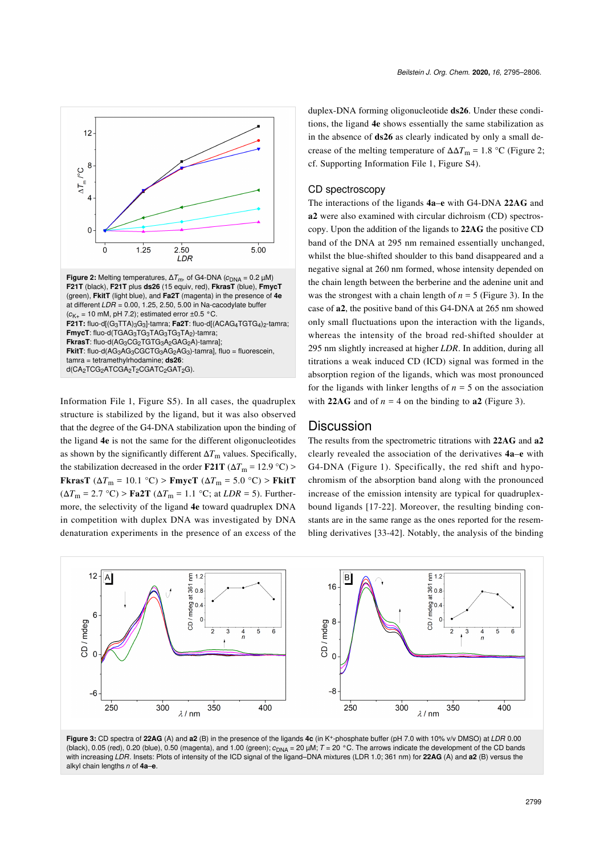<span id="page-4-0"></span>

[Information File 1,](#page-9-5) Figure S5). In all cases, the quadruplex structure is stabilized by the ligand, but it was also observed that the degree of the G4-DNA stabilization upon the binding of the ligand **4e** is not the same for the different oligonucleotides as shown by the significantly different Δ*T*m values. Specifically, the stabilization decreased in the order **F21T** ( $\Delta T_{\text{m}} = 12.9 \text{ °C}$ ) > **FkrasT** ( $\Delta T_m = 10.1 \text{ °C}$ ) > **FmycT** ( $\Delta T_m = 5.0 \text{ °C}$ ) > **FkitT**  $(\Delta T_{\text{m}} = 2.7 \text{ °C})$  > **Fa2T** ( $\Delta T_{\text{m}} = 1.1 \text{ °C}$ ; at *LDR* = 5). Furthermore, the selectivity of the ligand **4e** toward quadruplex DNA in competition with duplex DNA was investigated by DNA denaturation experiments in the presence of an excess of the

duplex-DNA forming oligonucleotide **ds26**. Under these conditions, the ligand **4e** shows essentially the same stabilization as in the absence of **ds26** as clearly indicated by only a small decrease of the melting temperature of  $\Delta \Delta T_{\text{m}} = 1.8 \text{ °C}$  ([Figure 2](#page-4-0); cf. [Supporting Information File 1,](#page-9-5) Figure S4).

#### CD spectroscopy

The interactions of the ligands **4a**–**e** with G4-DNA **22AG** and **a2** were also examined with circular dichroism (CD) spectroscopy. Upon the addition of the ligands to **22AG** the positive CD band of the DNA at 295 nm remained essentially unchanged, whilst the blue-shifted shoulder to this band disappeared and a negative signal at 260 nm formed, whose intensity depended on the chain length between the berberine and the adenine unit and was the strongest with a chain length of  $n = 5$  ([Figure 3\)](#page-4-1). In the case of **a2**, the positive band of this G4-DNA at 265 nm showed only small fluctuations upon the interaction with the ligands, whereas the intensity of the broad red-shifted shoulder at 295 nm slightly increased at higher *LDR*. In addition, during all titrations a weak induced CD (ICD) signal was formed in the absorption region of the ligands, which was most pronounced for the ligands with linker lengths of  $n = 5$  on the association with **22AG** and of  $n = 4$  on the binding to **a2** ([Figure 3](#page-4-1)).

#### Discussion

The results from the spectrometric titrations with **22AG** and **a2** clearly revealed the association of the derivatives **4a**–**e** with G4-DNA ([Figure 1](#page-3-0)). Specifically, the red shift and hypochromism of the absorption band along with the pronounced increase of the emission intensity are typical for quadruplexbound ligands [\[17-22\]](#page-10-2). Moreover, the resulting binding constants are in the same range as the ones reported for the resembling derivatives [\[33-42\]](#page-10-8). Notably, the analysis of the binding

<span id="page-4-1"></span>

**Figure 3:** CD spectra of **22AG** (A) and **a2** (B) in the presence of the ligands **4c** (in K<sup>+</sup> -phosphate buffer (pH 7.0 with 10% v/v DMSO) at *LDR* 0.00 (black), 0.05 (red), 0.20 (blue), 0.50 (magenta), and 1.00 (green); *c*DNA = 20 µM; *T* = 20 °C. The arrows indicate the development of the CD bands with increasing *LDR*. Insets: Plots of intensity of the ICD signal of the ligand–DNA mixtures (LDR 1.0; 361 nm) for **22AG** (A) and **a2** (B) versus the alkyl chain lengths *n* of **4a**–**e**.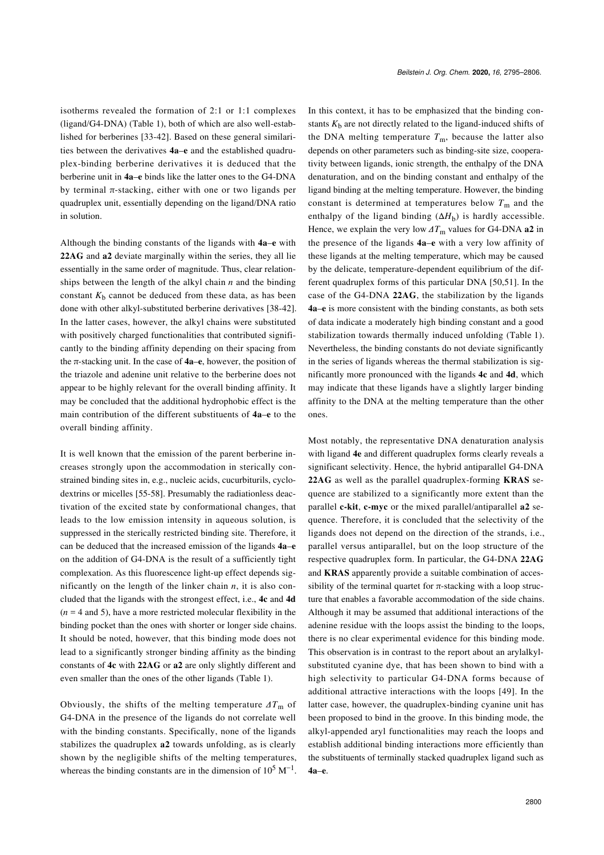isotherms revealed the formation of 2:1 or 1:1 complexes (ligand/G4-DNA) ([Table 1](#page-3-1)), both of which are also well-established for berberines [\[33-42\].](#page-10-8) Based on these general similarities between the derivatives **4a**–**e** and the established quadruplex-binding berberine derivatives it is deduced that the berberine unit in **4a**–**e** binds like the latter ones to the G4-DNA by terminal  $\pi$ -stacking, either with one or two ligands per quadruplex unit, essentially depending on the ligand/DNA ratio in solution.

Although the binding constants of the ligands with **4a**–**e** with **22AG** and **a2** deviate marginally within the series, they all lie essentially in the same order of magnitude. Thus, clear relationships between the length of the alkyl chain *n* and the binding constant  $K<sub>b</sub>$  cannot be deduced from these data, as has been done with other alkyl-substituted berberine derivatives [\[38-42\]](#page-10-10). In the latter cases, however, the alkyl chains were substituted with positively charged functionalities that contributed significantly to the binding affinity depending on their spacing from the π-stacking unit. In the case of **4a**–**e**, however, the position of the triazole and adenine unit relative to the berberine does not appear to be highly relevant for the overall binding affinity. It may be concluded that the additional hydrophobic effect is the main contribution of the different substituents of **4a**–**e** to the overall binding affinity.

It is well known that the emission of the parent berberine increases strongly upon the accommodation in sterically constrained binding sites in, e.g., nucleic acids, cucurbiturils, cyclodextrins or micelles [\[55-58\].](#page-10-22) Presumably the radiationless deactivation of the excited state by conformational changes, that leads to the low emission intensity in aqueous solution, is suppressed in the sterically restricted binding site. Therefore, it can be deduced that the increased emission of the ligands **4a**–**e** on the addition of G4-DNA is the result of a sufficiently tight complexation. As this fluorescence light-up effect depends significantly on the length of the linker chain *n*, it is also concluded that the ligands with the strongest effect, i.e., **4c** and **4d**  $(n = 4$  and 5), have a more restricted molecular flexibility in the binding pocket than the ones with shorter or longer side chains. It should be noted, however, that this binding mode does not lead to a significantly stronger binding affinity as the binding constants of **4c** with **22AG** or **a2** are only slightly different and even smaller than the ones of the other ligands ([Table 1](#page-3-1)).

Obviously, the shifts of the melting temperature *ΔT*m of G4-DNA in the presence of the ligands do not correlate well with the binding constants. Specifically, none of the ligands stabilizes the quadruplex **a2** towards unfolding, as is clearly shown by the negligible shifts of the melting temperatures, whereas the binding constants are in the dimension of  $10^5$  M<sup>-1</sup>.

In this context, it has to be emphasized that the binding constants  $K<sub>b</sub>$  are not directly related to the ligand-induced shifts of the DNA melting temperature  $T<sub>m</sub>$ , because the latter also depends on other parameters such as binding-site size, cooperativity between ligands, ionic strength, the enthalpy of the DNA denaturation, and on the binding constant and enthalpy of the ligand binding at the melting temperature. However, the binding constant is determined at temperatures below  $T<sub>m</sub>$  and the enthalpy of the ligand binding  $(\Delta H_b)$  is hardly accessible. Hence, we explain the very low  $\Delta T_{\text{m}}$  values for G4-DNA **a2** in the presence of the ligands **4a**–**e** with a very low affinity of these ligands at the melting temperature, which may be caused by the delicate, temperature-dependent equilibrium of the different quadruplex forms of this particular DNA [\[50,51\]](#page-10-17). In the case of the G4-DNA **22AG**, the stabilization by the ligands **4a**–**e** is more consistent with the binding constants, as both sets of data indicate a moderately high binding constant and a good stabilization towards thermally induced unfolding ([Table 1\)](#page-3-1). Nevertheless, the binding constants do not deviate significantly in the series of ligands whereas the thermal stabilization is significantly more pronounced with the ligands **4c** and **4d**, which may indicate that these ligands have a slightly larger binding affinity to the DNA at the melting temperature than the other ones.

Most notably, the representative DNA denaturation analysis with ligand **4e** and different quadruplex forms clearly reveals a significant selectivity. Hence, the hybrid antiparallel G4-DNA **22AG** as well as the parallel quadruplex-forming **KRAS** sequence are stabilized to a significantly more extent than the parallel **c-kit**, **c-myc** or the mixed parallel/antiparallel **a2** sequence. Therefore, it is concluded that the selectivity of the ligands does not depend on the direction of the strands, i.e., parallel versus antiparallel, but on the loop structure of the respective quadruplex form. In particular, the G4-DNA **22AG** and **KRAS** apparently provide a suitable combination of accessibility of the terminal quartet for  $\pi$ -stacking with a loop structure that enables a favorable accommodation of the side chains. Although it may be assumed that additional interactions of the adenine residue with the loops assist the binding to the loops, there is no clear experimental evidence for this binding mode. This observation is in contrast to the report about an arylalkylsubstituted cyanine dye, that has been shown to bind with a high selectivity to particular G4-DNA forms because of additional attractive interactions with the loops [\[49\]](#page-10-16). In the latter case, however, the quadruplex-binding cyanine unit has been proposed to bind in the groove. In this binding mode, the alkyl-appended aryl functionalities may reach the loops and establish additional binding interactions more efficiently than the substituents of terminally stacked quadruplex ligand such as **4a**–**e**.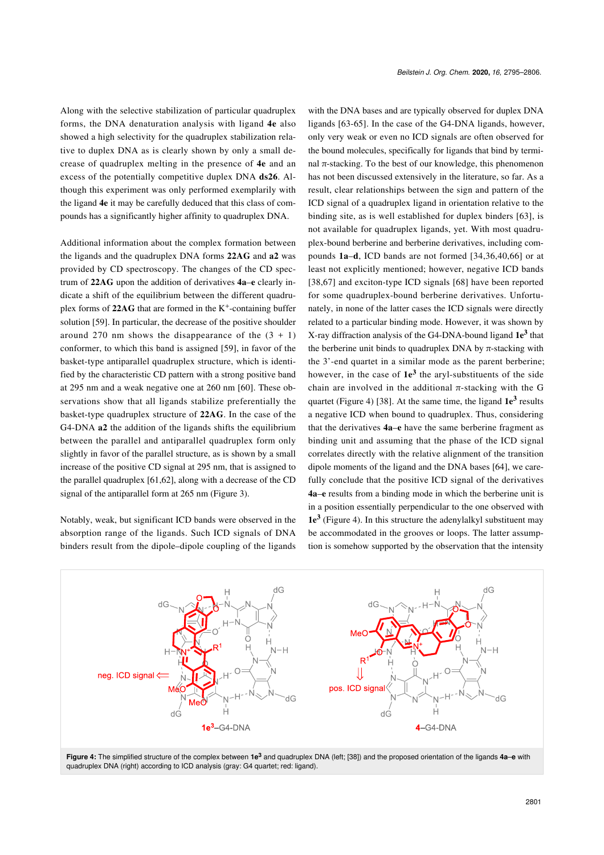Along with the selective stabilization of particular quadruplex forms, the DNA denaturation analysis with ligand **4e** also showed a high selectivity for the quadruplex stabilization relative to duplex DNA as is clearly shown by only a small decrease of quadruplex melting in the presence of **4e** and an excess of the potentially competitive duplex DNA **ds26**. Although this experiment was only performed exemplarily with the ligand **4e** it may be carefully deduced that this class of compounds has a significantly higher affinity to quadruplex DNA.

Additional information about the complex formation between the ligands and the quadruplex DNA forms **22AG** and **a2** was provided by CD spectroscopy. The changes of the CD spectrum of **22AG** upon the addition of derivatives **4a**–**e** clearly indicate a shift of the equilibrium between the different quadruplex forms of 22AG that are formed in the K<sup>+</sup>-containing buffer solution [\[59\].](#page-11-0) In particular, the decrease of the positive shoulder around 270 nm shows the disappearance of the  $(3 + 1)$ conformer, to which this band is assigned [\[59\],](#page-11-0) in favor of the basket-type antiparallel quadruplex structure, which is identified by the characteristic CD pattern with a strong positive band at 295 nm and a weak negative one at 260 nm [\[60\]](#page-11-1). These observations show that all ligands stabilize preferentially the basket-type quadruplex structure of **22AG**. In the case of the G4-DNA **a2** the addition of the ligands shifts the equilibrium between the parallel and antiparallel quadruplex form only slightly in favor of the parallel structure, as is shown by a small increase of the positive CD signal at 295 nm, that is assigned to the parallel quadruplex [\[61,62\]](#page-11-2), along with a decrease of the CD signal of the antiparallel form at 265 nm [\(Figure 3\)](#page-4-1).

Notably, weak, but significant ICD bands were observed in the absorption range of the ligands. Such ICD signals of DNA binders result from the dipole–dipole coupling of the ligands

with the DNA bases and are typically observed for duplex DNA ligands [\[63-65\].](#page-11-3) In the case of the G4-DNA ligands, however, only very weak or even no ICD signals are often observed for the bound molecules, specifically for ligands that bind by terminal π-stacking. To the best of our knowledge, this phenomenon has not been discussed extensively in the literature, so far. As a result, clear relationships between the sign and pattern of the ICD signal of a quadruplex ligand in orientation relative to the binding site, as is well established for duplex binders [\[63\]](#page-11-3), is not available for quadruplex ligands, yet. With most quadruplex-bound berberine and berberine derivatives, including compounds **1a**–**d**, ICD bands are not formed [\[34,36,40,66\]](#page-10-9) or at least not explicitly mentioned; however, negative ICD bands [\[38,67\]](#page-10-10) and exciton-type ICD signals [\[68\]](#page-11-4) have been reported for some quadruplex-bound berberine derivatives. Unfortunately, in none of the latter cases the ICD signals were directly related to a particular binding mode. However, it was shown by X-ray diffraction analysis of the G4-DNA-bound ligand **1e<sup>3</sup>** that the berberine unit binds to quadruplex DNA by  $\pi$ -stacking with the 3'-end quartet in a similar mode as the parent berberine; however, in the case of **1e<sup>3</sup>** the aryl-substituents of the side chain are involved in the additional  $\pi$ -stacking with the G quartet [\(Figure 4](#page-6-0)) [\[38\].](#page-10-10) At the same time, the ligand  $1e^3$  results a negative ICD when bound to quadruplex. Thus, considering that the derivatives **4a**–**e** have the same berberine fragment as binding unit and assuming that the phase of the ICD signal correlates directly with the relative alignment of the transition dipole moments of the ligand and the DNA bases [\[64\],](#page-11-5) we carefully conclude that the positive ICD signal of the derivatives **4a**–**e** results from a binding mode in which the berberine unit is in a position essentially perpendicular to the one observed with **1e<sup>3</sup>** [\(Figure 4\)](#page-6-0). In this structure the adenylalkyl substituent may be accommodated in the grooves or loops. The latter assumption is somehow supported by the observation that the intensity

<span id="page-6-0"></span>

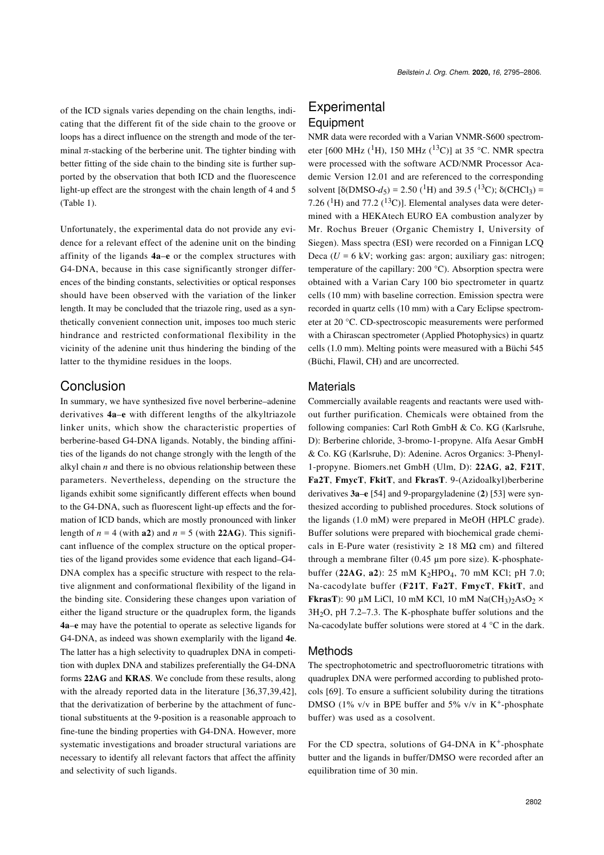of the ICD signals varies depending on the chain lengths, indicating that the different fit of the side chain to the groove or loops has a direct influence on the strength and mode of the terminal  $\pi$ -stacking of the berberine unit. The tighter binding with better fitting of the side chain to the binding site is further supported by the observation that both ICD and the fluorescence light-up effect are the strongest with the chain length of 4 and 5 ([Table 1\)](#page-3-1).

Unfortunately, the experimental data do not provide any evidence for a relevant effect of the adenine unit on the binding affinity of the ligands **4a**–**e** or the complex structures with G4-DNA, because in this case significantly stronger differences of the binding constants, selectivities or optical responses should have been observed with the variation of the linker length. It may be concluded that the triazole ring, used as a synthetically convenient connection unit, imposes too much steric hindrance and restricted conformational flexibility in the vicinity of the adenine unit thus hindering the binding of the latter to the thymidine residues in the loops.

### Conclusion

In summary, we have synthesized five novel berberine–adenine derivatives **4a**–**e** with different lengths of the alkyltriazole linker units, which show the characteristic properties of berberine-based G4-DNA ligands. Notably, the binding affinities of the ligands do not change strongly with the length of the alkyl chain  $n$  and there is no obvious relationship between these parameters. Nevertheless, depending on the structure the ligands exhibit some significantly different effects when bound to the G4-DNA, such as fluorescent light-up effects and the formation of ICD bands, which are mostly pronounced with linker length of  $n = 4$  (with **a2**) and  $n = 5$  (with **22AG**). This significant influence of the complex structure on the optical properties of the ligand provides some evidence that each ligand–G4- DNA complex has a specific structure with respect to the relative alignment and conformational flexibility of the ligand in the binding site. Considering these changes upon variation of either the ligand structure or the quadruplex form, the ligands **4a**–**e** may have the potential to operate as selective ligands for G4-DNA, as indeed was shown exemplarily with the ligand **4e**. The latter has a high selectivity to quadruplex DNA in competition with duplex DNA and stabilizes preferentially the G4-DNA forms **22AG** and **KRAS**. We conclude from these results, along with the already reported data in the literature [\[36,37,39,42\]](#page-10-23), that the derivatization of berberine by the attachment of functional substituents at the 9-position is a reasonable approach to fine-tune the binding properties with G4-DNA. However, more systematic investigations and broader structural variations are necessary to identify all relevant factors that affect the affinity and selectivity of such ligands.

# **Experimental** Equipment

NMR data were recorded with a Varian VNMR-S600 spectrometer [600 MHz (<sup>1</sup>H), 150 MHz (<sup>13</sup>C)] at 35 °C. NMR spectra were processed with the software ACD/NMR Processor Academic Version 12.01 and are referenced to the corresponding solvent  $[\delta(DMSO-d_5) = 2.50(^{1}H)$  and 39.5 (<sup>13</sup>C);  $\delta(CHCI_3) =$ 7.26 ( ${}^{1}$ H) and 77.2 ( ${}^{13}$ C)]. Elemental analyses data were determined with a HEKAtech EURO EA combustion analyzer by Mr. Rochus Breuer (Organic Chemistry I, University of Siegen). Mass spectra (ESI) were recorded on a Finnigan LCQ Deca  $(U = 6$  kV; working gas: argon; auxiliary gas: nitrogen; temperature of the capillary: 200 °C). Absorption spectra were obtained with a Varian Cary 100 bio spectrometer in quartz cells (10 mm) with baseline correction. Emission spectra were recorded in quartz cells (10 mm) with a Cary Eclipse spectrometer at 20 °C. CD-spectroscopic measurements were performed with a Chirascan spectrometer (Applied Photophysics) in quartz cells (1.0 mm). Melting points were measured with a Büchi 545 (Büchi, Flawil, CH) and are uncorrected.

#### **Materials**

Commercially available reagents and reactants were used without further purification. Chemicals were obtained from the following companies: Carl Roth GmbH & Co. KG (Karlsruhe, D): Berberine chloride, 3-bromo-1-propyne. Alfa Aesar GmbH & Co. KG (Karlsruhe, D): Adenine. Acros Organics: 3-Phenyl-1-propyne. Biomers.net GmbH (Ulm, D): **22AG**, **a2**, **F21T**, **Fa2T**, **FmycT**, **FkitT**, and **FkrasT**. 9-(Azidoalkyl)berberine derivatives **3a**–**e** [\[54\]](#page-10-21) and 9-propargyladenine (**2**) [\[53\]](#page-10-20) were synthesized according to published procedures. Stock solutions of the ligands (1.0 mM) were prepared in MeOH (HPLC grade). Buffer solutions were prepared with biochemical grade chemicals in E-Pure water (resistivity  $\geq$  18 M $\Omega$  cm) and filtered through a membrane filter (0.45 µm pore size). K-phosphatebuffer (**22AG**, **a2**): 25 mM K2HPO4, 70 mM KCl; pH 7.0; Na-cacodylate buffer (**F21T**, **Fa2T**, **FmycT**, **FkitT**, and **FkrasT**): 90 µM LiCl, 10 mM KCl, 10 mM  $NaCH_3)_2AsO_2 \times$  $3H<sub>2</sub>O$ , pH 7.2–7.3. The K-phosphate buffer solutions and the Na-cacodylate buffer solutions were stored at 4 °C in the dark.

#### Methods

The spectrophotometric and spectrofluorometric titrations with quadruplex DNA were performed according to published protocols [\[69\]](#page-11-6). To ensure a sufficient solubility during the titrations DMSO (1% v/v in BPE buffer and 5% v/v in  $K^+$ -phosphate buffer) was used as a cosolvent.

For the CD spectra, solutions of G4-DNA in  $K^+$ -phosphate butter and the ligands in buffer/DMSO were recorded after an equilibration time of 30 min.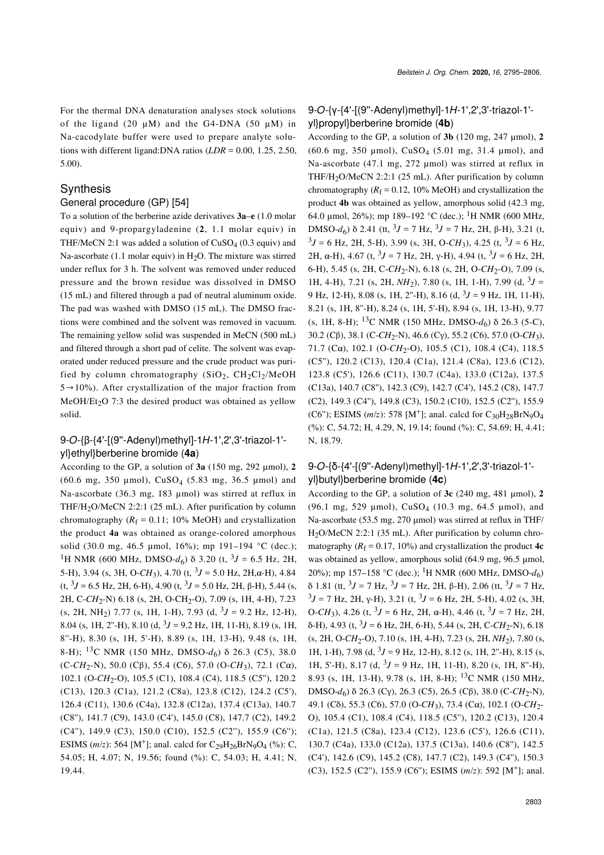For the thermal DNA denaturation analyses stock solutions of the ligand (20  $\mu$ M) and the G4-DNA (50  $\mu$ M) in Na-cacodylate buffer were used to prepare analyte solutions with different ligand:DNA ratios (*LDR* = 0.00, 1.25, 2.50, 5.00).

#### **Synthesis**

#### General procedure (GP) [\[54\]](#page-10-21)

To a solution of the berberine azide derivatives **3a**–**e** (1.0 molar equiv) and 9-propargyladenine (**2**, 1.1 molar equiv) in THF/MeCN 2:1 was added a solution of  $CuSO<sub>4</sub>$  (0.3 equiv) and Na-ascorbate (1.1 molar equiv) in  $H<sub>2</sub>O$ . The mixture was stirred under reflux for 3 h. The solvent was removed under reduced pressure and the brown residue was dissolved in DMSO (15 mL) and filtered through a pad of neutral aluminum oxide. The pad was washed with DMSO (15 mL). The DMSO fractions were combined and the solvent was removed in vacuum. The remaining yellow solid was suspended in MeCN (500 mL) and filtered through a short pad of celite. The solvent was evaporated under reduced pressure and the crude product was purified by column chromatography  $(SiO<sub>2</sub>, CH<sub>2</sub>Cl<sub>2</sub>/MeOH$  $5\rightarrow10\%$ ). After crystallization of the major fraction from  $MeOH/Et<sub>2</sub>O$  7:3 the desired product was obtained as yellow solid.

#### 9-*O*-{β-{4'-[(9''-Adenyl)methyl]-1*H*-1',2',3'-triazol-1' yl}ethyl}berberine bromide (**4a**)

According to the GP, a solution of **3a** (150 mg, 292 µmol), **2** (60.6 mg, 350 µmol),  $CuSO_4$  (5.83 mg, 36.5 µmol) and Na-ascorbate (36.3 mg, 183 µmol) was stirred at reflux in THF/H<sub>2</sub>O/MeCN 2:2:1 (25 mL). After purification by column chromatography  $(R_f = 0.11; 10\% \text{ MeOH})$  and crystallization the product **4a** was obtained as orange-colored amorphous solid (30.0 mg, 46.5 µmol, 16%); mp 191–194 °C (dec.); <sup>1</sup>H NMR (600 MHz, DMSO- $d_6$ ) δ 3.20 (t, <sup>3</sup>J = 6.5 Hz, 2H, 5-H), 3.94 (s, 3H, O-*CH*3), 4.70 (t, <sup>3</sup> *J* = 5.0 Hz, 2H,α-H), 4.84 (t, <sup>3</sup> *J* = 6.5 Hz, 2H, 6-H), 4.90 (t, <sup>3</sup> *J* = 5.0 Hz, 2H, β-H), 5.44 (s, 2H, C-*CH*<sub>2</sub>-N) 6.18 (s, 2H, O-CH<sub>2</sub>-O), 7.09 (s, 1H, 4-H), 7.23  $(s, 2H, NH<sub>2</sub>)$  7.77  $(s, 1H, 1-H)$ , 7.93  $(d, {}^{3}J = 9.2 \text{ Hz}, 12-H)$ , 8.04 (s, 1H, 2"-H), 8.10 (d,  $3J = 9.2$  Hz, 1H, 11-H), 8.19 (s, 1H, 8''-H), 8.30 (s, 1H, 5'-H), 8.89 (s, 1H, 13-H), 9.48 (s, 1H, 8-H); <sup>13</sup>C NMR (150 MHz, DMSO-d<sub>6</sub>) δ 26.3 (C5), 38.0 (C-*CH*<sub>2</sub>-N), 50.0 (Cβ), 55.4 (C6), 57.0 (O-*CH*<sub>3</sub>), 72.1 (Cα), 102.1 (O-CH<sub>2</sub>-O), 105.5 (C1), 108.4 (C4), 118.5 (C5"), 120.2 (C13), 120.3 (C1a), 121.2 (C8a), 123.8 (C12), 124.2 (C5'), 126.4 (C11), 130.6 (C4a), 132.8 (C12a), 137.4 (C13a), 140.7 (C8''), 141.7 (C9), 143.0 (C4'), 145.0 (C8), 147.7 (C2), 149.2 (C4''), 149.9 (C3), 150.0 (C10), 152.5 (C2''), 155.9 (C6''); ESIMS (*m*/*z*): 564 [M<sup>+</sup>]; anal. calcd for  $C_{29}H_{26}BrN_9O_4$  (%): C, 54.05; H, 4.07; N, 19.56; found (%): C, 54.03; H, 4.41; N, 19.44.

#### 9-*O*-{γ-{4'-[(9''-Adenyl)methyl]-1*H*-1',2',3'-triazol-1' yl}propyl}berberine bromide (**4b**)

According to the GP, a solution of **3b** (120 mg, 247 µmol), **2** (60.6 mg, 350 µmol), CuSO4 (5.01 mg, 31.4 µmol), and Na-ascorbate (47.1 mg, 272 µmol) was stirred at reflux in THF/H<sub>2</sub>O/MeCN 2:2:1 (25 mL). After purification by column chromatography  $(R_f = 0.12, 10\% \text{ MeOH})$  and crystallization the product **4b** was obtained as yellow, amorphous solid (42.3 mg, 64.0 µmol, 26%); mp 189–192 °C (dec.); <sup>1</sup>H NMR (600 MHz, DMSO-*d*<sub>6</sub>) δ 2.41 (tt, <sup>3</sup>*J* = 7 Hz, <sup>3</sup>*J* = 7 Hz, 2H, β-H), 3.21 (t,  $3J = 6$  Hz, 2H, 5-H), 3.99 (s, 3H, O-CH<sub>3</sub>), 4.25 (t,  $3J = 6$  Hz, 2H,  $\alpha$ -H), 4.67 (t,  ${}^{3}J = 7$  Hz, 2H,  $\gamma$ -H), 4.94 (t,  ${}^{3}J = 6$  Hz, 2H, 6-H), 5.45 (s, 2H, C-CH<sub>2</sub>-N), 6.18 (s, 2H, O-CH<sub>2</sub>-O), 7.09 (s, 1H, 4-H), 7.21 (s, 2H,  $NH_2$ ), 7.80 (s, 1H, 1-H), 7.99 (d, <sup>3</sup>J = 9 Hz, 12-H), 8.08 (s, 1H, 2''-H), 8.16 (d, <sup>3</sup> *J* = 9 Hz, 1H, 11-H), 8.21 (s, 1H, 8''-H), 8.24 (s, 1H, 5'-H), 8.94 (s, 1H, 13-H), 9.77 (s, 1H, 8-H); 13C NMR (150 MHz, DMSO-*d*6) δ 26.3 (5-C), 30.2 (Cβ), 38.1 (C-*CH*<sub>2</sub>-N), 46.6 (Cγ), 55.2 (C6), 57.0 (O-*CH*<sub>3</sub>), 71.7 (Cα), 102.1 (O-CH<sub>2</sub>-O), 105.5 (C1), 108.4 (C4), 118.5 (C5''), 120.2 (C13), 120.4 (C1a), 121.4 (C8a), 123.6 (C12), 123.8 (C5'), 126.6 (C11), 130.7 (C4a), 133.0 (C12a), 137.5 (C13a), 140.7 (C8''), 142.3 (C9), 142.7 (C4'), 145.2 (C8), 147.7 (C2), 149.3 (C4''), 149.8 (C3), 150.2 (C10), 152.5 (C2''), 155.9 (C6"); ESIMS  $(m/z)$ : 578 [M<sup>+</sup>]; anal. calcd for C<sub>30</sub>H<sub>28</sub>BrN<sub>9</sub>O<sub>4</sub> (%): C, 54.72; H, 4.29, N, 19.14; found (%): C, 54.69; H, 4.41; N, 18.79.

#### 9-*O*-{δ-{4'-[(9''-Adenyl)methyl]-1*H*-1',2',3'-triazol-1' yl}butyl}berberine bromide (**4c**)

According to the GP, a solution of **3c** (240 mg, 481 µmol), **2** (96.1 mg, 529 µmol),  $CuSO_4$  (10.3 mg, 64.5 µmol), and Na-ascorbate (53.5 mg, 270 µmol) was stirred at reflux in THF/ H2O/MeCN 2:2:1 (35 mL). After purification by column chromatography  $(R_f = 0.17, 10\%)$  and crystallization the product 4c was obtained as yellow, amorphous solid (64.9 mg, 96.5 µmol, 20%); mp 157–158 °C (dec.); <sup>1</sup>H NMR (600 MHz, DMSO- $d_6$ ) δ 1.81 (tt,  $3J = 7$  Hz,  $3J = 7$  Hz, 2H, β-H), 2.06 (tt,  $3J = 7$  Hz,  $3J = 7$  Hz, 2H,  $\gamma$ -H), 3.21 (t,  $3J = 6$  Hz, 2H, 5-H), 4.02 (s, 3H, O-*CH*<sub>3</sub>), 4.26 (t, <sup>3</sup>*J* = 6 Hz, 2H, α-H), 4.46 (t, <sup>3</sup>*J* = 7 Hz, 2H, δ-H), 4.93 (t, <sup>3</sup> *J* = 6 Hz, 2H, 6-H), 5.44 (s, 2H, C-*CH*<sup>2</sup> -N), 6.18 (s, 2H, O-CH<sub>2</sub>-O), 7.10 (s, 1H, 4-H), 7.23 (s, 2H, NH<sub>2</sub>), 7.80 (s, 1H, 1-H), 7.98 (d,  $3J = 9$  Hz, 12-H), 8.12 (s, 1H, 2"-H), 8.15 (s, 1H, 5'-H), 8.17 (d,  $3J = 9$  Hz, 1H, 11-H), 8.20 (s, 1H, 8"-H), 8.93 (s, 1H, 13-H), 9.78 (s, 1H, 8-H); 13C NMR (150 MHz, DMSO-*d*<sub>6</sub>) δ 26.3 (Cγ), 26.3 (C5), 26.5 (Cβ), 38.0 (C-*CH*<sub>2</sub>-N), 49.1 (Cδ), 55.3 (C6), 57.0 (O-*CH*<sup>3</sup> ), 73.4 (Cα), 102.1 (O-*CH*<sup>2</sup> - O), 105.4 (C1), 108.4 (C4), 118.5 (C5''), 120.2 (C13), 120.4 (C1a), 121.5 (C8a), 123.4 (C12), 123.6 (C5'), 126.6 (C11), 130.7 (C4a), 133.0 (C12a), 137.5 (C13a), 140.6 (C8''), 142.5 (C4'), 142.6 (C9), 145.2 (C8), 147.7 (C2), 149.3 (C4''), 150.3 (C3), 152.5 (C2"), 155.9 (C6"); ESIMS ( $m/z$ ): 592 [M<sup>+</sup>]; anal.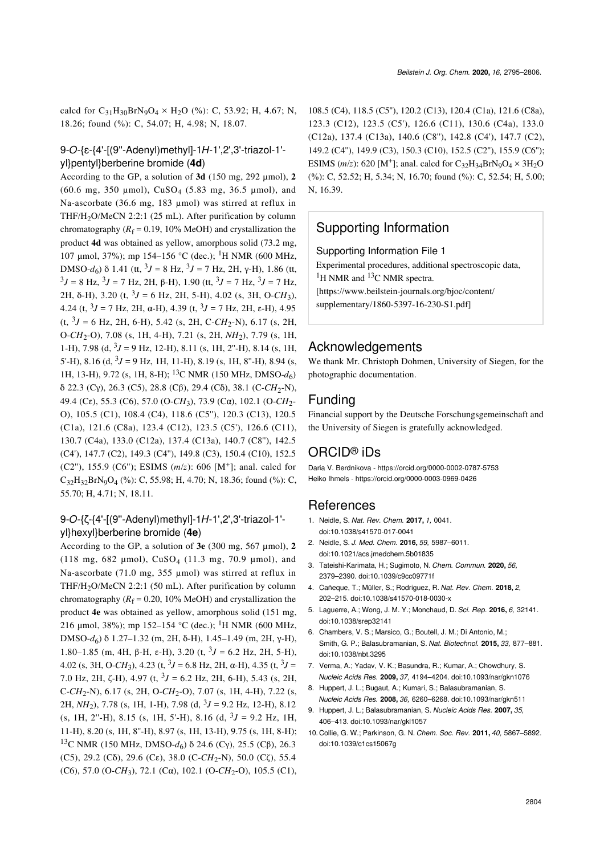calcd for  $C_{31}H_{30}BrN_9O_4 \times H_2O$  (%): C, 53.92; H, 4.67; N, 18.26; found (%): C, 54.07; H, 4.98; N, 18.07.

### 9-*O*-{ε-{4'-[(9''-Adenyl)methyl]-1*H*-1',2',3'-triazol-1' yl}pentyl}berberine bromide (**4d**)

According to the GP, a solution of **3d** (150 mg, 292 µmol), **2** (60.6 mg, 350 µmol), CuSO4 (5.83 mg, 36.5 µmol), and Na-ascorbate (36.6 mg, 183 µmol) was stirred at reflux in THF/H2O/MeCN 2:2:1 (25 mL). After purification by column chromatography  $(R_f = 0.19, 10\% \text{ MeOH})$  and crystallization the product **4d** was obtained as yellow, amorphous solid (73.2 mg, 107 µmol, 37%); mp 154–156 °C (dec.); <sup>1</sup>H NMR (600 MHz, DMSO-*d*<sub>6</sub>) δ 1.41 (tt, <sup>3</sup>*J* = 8 Hz, <sup>3</sup>*J* = 7 Hz, 2H, γ-H), 1.86 (tt, <sup>3</sup>*J* = 8 Hz, <sup>3</sup>*J* = 7 Hz, 2H, β-H), 1.90 (tt, <sup>3</sup>*J* = 7 Hz, <sup>3</sup>*J* = 7 Hz, 2H, δ-H), 3.20 (t, <sup>3</sup>J = 6 Hz, 2H, 5-H), 4.02 (s, 3H, O-*CH*<sub>3</sub>), 4.24 (t,  $3J = 7$  Hz, 2H,  $\alpha$ -H), 4.39 (t,  $3J = 7$  Hz, 2H,  $\epsilon$ -H), 4.95  $(t, {}^{3}J = 6$  Hz, 2H, 6-H), 5.42 (s, 2H, C-*CH*<sub>2</sub>-N), 6.17 (s, 2H, O-*CH*<sub>2</sub>-O), 7.08 (s, 1H, 4-H), 7.21 (s, 2H, *NH*<sub>2</sub>), 7.79 (s, 1H, 1-H), 7.98 (d,  $3J = 9$  Hz, 12-H), 8.11 (s, 1H, 2"-H), 8.14 (s, 1H, 5'-H), 8.16 (d,  $3J = 9$  Hz, 1H, 11-H), 8.19 (s, 1H, 8"-H), 8.94 (s, 1H, 13-H), 9.72 (s, 1H, 8-H); 13C NMR (150 MHz, DMSO-*d*6) δ 22.3 (Cγ), 26.3 (C5), 28.8 (Cβ), 29.4 (Cδ), 38.1 (C-CH<sub>2</sub>-N), 49.4 (Cε), 55.3 (C6), 57.0 (O-*CH*3), 73.9 (Cα), 102.1 (O-*CH*2- O), 105.5 (C1), 108.4 (C4), 118.6 (C5''), 120.3 (C13), 120.5 (C1a), 121.6 (C8a), 123.4 (C12), 123.5 (C5'), 126.6 (C11), 130.7 (C4a), 133.0 (C12a), 137.4 (C13a), 140.7 (C8''), 142.5 (C4'), 147.7 (C2), 149.3 (C4''), 149.8 (C3), 150.4 (C10), 152.5 (C2"), 155.9 (C6"); ESIMS ( $m/z$ ): 606 [M<sup>+</sup>]; anal. calcd for  $C_{32}H_{32}BrN_9O_4$  (%): C, 55.98; H, 4.70; N, 18.36; found (%): C, 55.70; H, 4.71; N, 18.11.

#### 9-*O*-{ζ-{4'-[(9''-Adenyl)methyl]-1*H*-1',2',3'-triazol-1' yl}hexyl}berberine bromide (**4e**)

According to the GP, a solution of **3e** (300 mg, 567 µmol), **2** (118 mg, 682 µmol), CuSO4 (11.3 mg, 70.9 µmol), and Na-ascorbate (71.0 mg, 355 µmol) was stirred at reflux in THF/H<sub>2</sub>O/MeCN 2:2:1 (50 mL). After purification by column chromatography  $(R_f = 0.20, 10\% \text{ MeOH})$  and crystallization the product **4e** was obtained as yellow, amorphous solid (151 mg, 216 µmol, 38%); mp 152–154 °C (dec.); <sup>1</sup>H NMR (600 MHz, DMSO-*d*<sup>6</sup> ) δ 1.27–1.32 (m, 2H, δ-H), 1.45–1.49 (m, 2H, γ-H), 1.80–1.85 (m, 4H, β-H, ε-H), 3.20 (t,  $3J = 6.2$  Hz, 2H, 5-H), 4.02 (s, 3H, O-*CH*<sub>3</sub>), 4.23 (t, <sup>3</sup>*J* = 6.8 Hz, 2H, α-H), 4.35 (t, <sup>3</sup>*J* = 7.0 Hz, 2H,  $\zeta$ -H), 4.97 (t,  $3J = 6.2$  Hz, 2H, 6-H), 5.43 (s, 2H, C-*CH*<sup>2</sup> -N), 6.17 (s, 2H, O-*CH*<sup>2</sup> -O), 7.07 (s, 1H, 4-H), 7.22 (s, 2H, *NH*<sup>2</sup> ), 7.78 (s, 1H, 1-H), 7.98 (d, <sup>3</sup> *J* = 9.2 Hz, 12-H), 8.12  $(s, 1H, 2^{\circ}$ -H), 8.15  $(s, 1H, 5^{\circ}$ -H), 8.16  $(d, {}^{3}J = 9.2 \text{ Hz}, 1H,$ 11-H), 8.20 (s, 1H, 8''-H), 8.97 (s, 1H, 13-H), 9.75 (s, 1H, 8-H); <sup>13</sup>C NMR (150 MHz, DMSO-*d*<sub>6</sub>) δ 24.6 (Cγ), 25.5 (Cβ), 26.3 (C5), 29.2 (Cδ), 29.6 (Cε), 38.0 (C-*CH*<sup>2</sup> -N), 50.0 (Cζ), 55.4 (C6), 57.0 (O-*CH*<sup>3</sup> ), 72.1 (Cα), 102.1 (O-*CH*<sup>2</sup> -O), 105.5 (C1),

108.5 (C4), 118.5 (C5''), 120.2 (C13), 120.4 (C1a), 121.6 (C8a), 123.3 (C12), 123.5 (C5'), 126.6 (C11), 130.6 (C4a), 133.0 (C12a), 137.4 (C13a), 140.6 (C8''), 142.8 (C4'), 147.7 (C2), 149.2 (C4''), 149.9 (C3), 150.3 (C10), 152.5 (C2''), 155.9 (C6''); ESIMS (*m*/*z*): 620 [M<sup>+</sup>]; anal. calcd for  $C_{32}H_{34}BrN_9O_4 \times 3H_2O$ (%): C, 52.52; H, 5.34; N, 16.70; found (%): C, 52.54; H, 5.00; N, 16.39.

# Supporting Information

<span id="page-9-5"></span>Supporting Information File 1

Experimental procedures, additional spectroscopic data,  ${}^{1}$ H NMR and  ${}^{13}$ C NMR spectra. [\[https://www.beilstein-journals.org/bjoc/content/](https://www.beilstein-journals.org/bjoc/content/supplementary/1860-5397-16-230-S1.pdf)

[supplementary/1860-5397-16-230-S1.pdf\]](https://www.beilstein-journals.org/bjoc/content/supplementary/1860-5397-16-230-S1.pdf)

### Acknowledgements

We thank Mr. Christoph Dohmen, University of Siegen, for the photographic documentation.

## Funding

Financial support by the Deutsche Forschungsgemeinschaft and the University of Siegen is gratefully acknowledged.

# ORCID® iDs

Daria V. Berdnikova -<https://orcid.org/0000-0002-0787-5753> Heiko Ihmels -<https://orcid.org/0000-0003-0969-0426>

#### **References**

- <span id="page-9-0"></span>1. Neidle, S. *Nat. Rev. Chem.* **2017,** *1,* 0041. [doi:10.1038/s41570-017-0041](https://doi.org/10.1038%2Fs41570-017-0041)
- <span id="page-9-4"></span>2. Neidle, S. *J. Med. Chem.* **2016,** *59,* 5987–6011. [doi:10.1021/acs.jmedchem.5b01835](https://doi.org/10.1021%2Facs.jmedchem.5b01835)
- 3. Tateishi-Karimata, H.; Sugimoto, N. *Chem. Commun.* **2020,** *56,* 2379–2390. [doi:10.1039/c9cc09771f](https://doi.org/10.1039%2Fc9cc09771f)
- <span id="page-9-1"></span>4. Cañeque, T.; Müller, S.; Rodriguez, R. *Nat. Rev. Chem.* **2018,** *2,* 202–215. [doi:10.1038/s41570-018-0030-x](https://doi.org/10.1038%2Fs41570-018-0030-x)
- 5. Laguerre, A.; Wong, J. M. Y.; Monchaud, D. *Sci. Rep.* **2016,** *6,* 32141. [doi:10.1038/srep32141](https://doi.org/10.1038%2Fsrep32141)
- 6. Chambers, V. S.; Marsico, G.; Boutell, J. M.; Di Antonio, M.; Smith, G. P.; Balasubramanian, S. *Nat. Biotechnol.* **2015,** *33,* 877–881. [doi:10.1038/nbt.3295](https://doi.org/10.1038%2Fnbt.3295)
- <span id="page-9-2"></span>7. Verma, A.; Yadav, V. K.; Basundra, R.; Kumar, A.; Chowdhury, S. *Nucleic Acids Res.* **2009,** *37,* 4194–4204. [doi:10.1093/nar/gkn1076](https://doi.org/10.1093%2Fnar%2Fgkn1076)
- 8. Huppert, J. L.; Bugaut, A.; Kumari, S.; Balasubramanian, S. *Nucleic Acids Res.* **2008,** *36,* 6260–6268. [doi:10.1093/nar/gkn511](https://doi.org/10.1093%2Fnar%2Fgkn511)
- 9. Huppert, J. L.; Balasubramanian, S. *Nucleic Acids Res.* **2007,** *35,* 406–413. [doi:10.1093/nar/gkl1057](https://doi.org/10.1093%2Fnar%2Fgkl1057)
- <span id="page-9-3"></span>10. Collie, G. W.; Parkinson, G. N. *Chem. Soc. Rev.* **2011,** *40,* 5867–5892. [doi:10.1039/c1cs15067g](https://doi.org/10.1039%2Fc1cs15067g)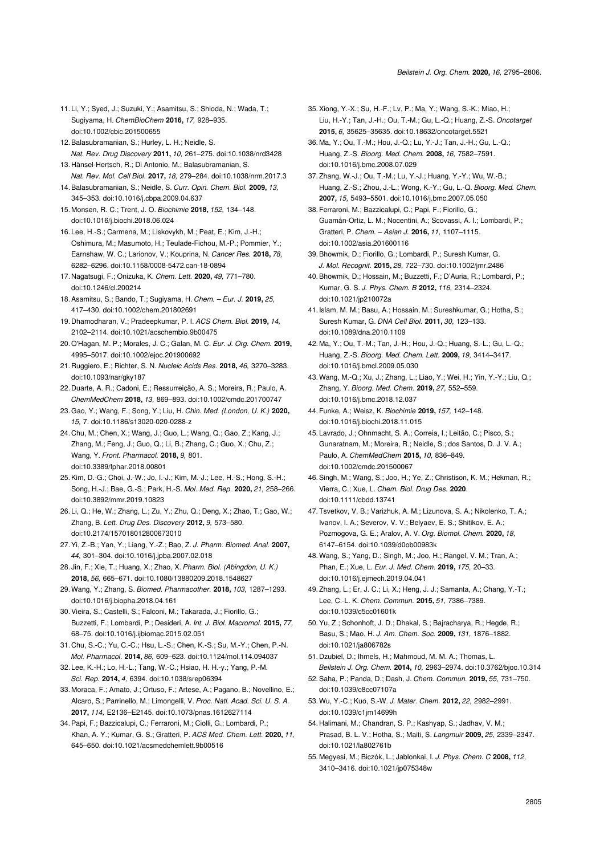- <span id="page-10-0"></span>11. Li, Y.; Syed, J.; Suzuki, Y.; Asamitsu, S.; Shioda, N.; Wada, T.; Sugiyama, H. *ChemBioChem* **2016,** *17,* 928–935. [doi:10.1002/cbic.201500655](https://doi.org/10.1002%2Fcbic.201500655)
- 12.Balasubramanian, S.; Hurley, L. H.; Neidle, S. *Nat. Rev. Drug Discovery* **2011,** *10,* 261–275. [doi:10.1038/nrd3428](https://doi.org/10.1038%2Fnrd3428)
- <span id="page-10-1"></span>13. Hänsel-Hertsch, R.; Di Antonio, M.; Balasubramanian, S. *Nat. Rev. Mol. Cell Biol.* **2017,** *18,* 279–284. [doi:10.1038/nrm.2017.3](https://doi.org/10.1038%2Fnrm.2017.3)
- 14.Balasubramanian, S.; Neidle, S. *Curr. Opin. Chem. Biol.* **2009,** *13,* 345–353. [doi:10.1016/j.cbpa.2009.04.637](https://doi.org/10.1016%2Fj.cbpa.2009.04.637)
- 15. Monsen, R. C.; Trent, J. O. *Biochimie* **2018,** *152,* 134–148. [doi:10.1016/j.biochi.2018.06.024](https://doi.org/10.1016%2Fj.biochi.2018.06.024)
- 16. Lee, H.-S.; Carmena, M.; Liskovykh, M.; Peat, E.; Kim, J.-H.; Oshimura, M.; Masumoto, H.; Teulade-Fichou, M.-P.; Pommier, Y.; Earnshaw, W. C.; Larionov, V.; Kouprina, N. *Cancer Res.* **2018,** *78,* 6282–6296. [doi:10.1158/0008-5472.can-18-0894](https://doi.org/10.1158%2F0008-5472.can-18-0894)
- <span id="page-10-2"></span>17. Nagatsugi, F.; Onizuka, K. *Chem. Lett.* **2020,** *49,* 771–780. [doi:10.1246/cl.200214](https://doi.org/10.1246%2Fcl.200214)
- 18.Asamitsu, S.; Bando, T.; Sugiyama, H. *Chem. Eur. J.* **2019,** *25,* 417–430. [doi:10.1002/chem.201802691](https://doi.org/10.1002%2Fchem.201802691)
- 19. Dhamodharan, V.; Pradeepkumar, P. I. *ACS Chem. Biol.* **2019,** *14,* 2102–2114. [doi:10.1021/acschembio.9b00475](https://doi.org/10.1021%2Facschembio.9b00475)
- 20.O'Hagan, M. P.; Morales, J. C.; Galan, M. C. *Eur. J. Org. Chem.* **2019,** 4995–5017. [doi:10.1002/ejoc.201900692](https://doi.org/10.1002%2Fejoc.201900692)
- 21. Ruggiero, E.; Richter, S. N. *Nucleic Acids Res.* **2018,** *46,* 3270–3283. [doi:10.1093/nar/gky187](https://doi.org/10.1093%2Fnar%2Fgky187)
- 22. Duarte, A. R.; Cadoni, E.; Ressurreição, A. S.; Moreira, R.; Paulo, A. *ChemMedChem* **2018,** *13,* 869–893. [doi:10.1002/cmdc.201700747](https://doi.org/10.1002%2Fcmdc.201700747)
- <span id="page-10-3"></span>23.Gao, Y.; Wang, F.; Song, Y.; Liu, H. *Chin. Med. (London, U. K.)* **2020,** *15,* 7. [doi:10.1186/s13020-020-0288-z](https://doi.org/10.1186%2Fs13020-020-0288-z)
- 24. Chu, M.; Chen, X.; Wang, J.; Guo, L.; Wang, Q.; Gao, Z.; Kang, J.; Zhang, M.; Feng, J.; Guo, Q.; Li, B.; Zhang, C.; Guo, X.; Chu, Z.; Wang, Y. *Front. Pharmacol.* **2018,** *9,* 801. [doi:10.3389/fphar.2018.00801](https://doi.org/10.3389%2Ffphar.2018.00801)
- <span id="page-10-4"></span>25.Kim, D.-G.; Choi, J.-W.; Jo, I.-J.; Kim, M.-J.; Lee, H.-S.; Hong, S.-H.; Song, H.-J.; Bae, G.-S.; Park, H.-S. *Mol. Med. Rep.* **2020,** *21,* 258–266. [doi:10.3892/mmr.2019.10823](https://doi.org/10.3892%2Fmmr.2019.10823)
- <span id="page-10-5"></span>26. Li, Q.; He, W.; Zhang, L.; Zu, Y.; Zhu, Q.; Deng, X.; Zhao, T.; Gao, W.; Zhang, B. *Lett. Drug Des. Discovery* **2012,** *9,* 573–580. [doi:10.2174/157018012800673010](https://doi.org/10.2174%2F157018012800673010)
- 27.Yi, Z.-B.; Yan, Y.; Liang, Y.-Z.; Bao, Z. *J. Pharm. Biomed. Anal.* **2007,** *44,* 301–304. [doi:10.1016/j.jpba.2007.02.018](https://doi.org/10.1016%2Fj.jpba.2007.02.018)
- <span id="page-10-6"></span>28. Jin, F.; Xie, T.; Huang, X.; Zhao, X. *Pharm. Biol. (Abingdon, U. K.)* **2018,** *56,* 665–671. [doi:10.1080/13880209.2018.1548627](https://doi.org/10.1080%2F13880209.2018.1548627)
- 29.Wang, Y.; Zhang, S. *Biomed. Pharmacother.* **2018,** *103,* 1287–1293. [doi:10.1016/j.biopha.2018.04.161](https://doi.org/10.1016%2Fj.biopha.2018.04.161)
- 30.Vieira, S.; Castelli, S.; Falconi, M.; Takarada, J.; Fiorillo, G.; Buzzetti, F.; Lombardi, P.; Desideri, A. *Int. J. Biol. Macromol.* **2015,** *77,* 68–75. [doi:10.1016/j.ijbiomac.2015.02.051](https://doi.org/10.1016%2Fj.ijbiomac.2015.02.051)
- <span id="page-10-7"></span>31. Chu, S.-C.; Yu, C.-C.; Hsu, L.-S.; Chen, K.-S.; Su, M.-Y.; Chen, P.-N. *Mol. Pharmacol.* **2014,** *86,* 609–623. [doi:10.1124/mol.114.094037](https://doi.org/10.1124%2Fmol.114.094037)
- 32. Lee, K.-H.; Lo, H.-L.; Tang, W.-C.; Hsiao, H. H.-y.; Yang, P.-M. *Sci. Rep.* **2014,** *4,* 6394. [doi:10.1038/srep06394](https://doi.org/10.1038%2Fsrep06394)
- <span id="page-10-8"></span>33. Moraca, F.; Amato, J.; Ortuso, F.; Artese, A.; Pagano, B.; Novellino, E.; Alcaro, S.; Parrinello, M.; Limongelli, V. *Proc. Natl. Acad. Sci. U. S. A.* **2017,** *114,* E2136–E2145. [doi:10.1073/pnas.1612627114](https://doi.org/10.1073%2Fpnas.1612627114)
- <span id="page-10-9"></span>34.Papi, F.; Bazzicalupi, C.; Ferraroni, M.; Ciolli, G.; Lombardi, P.; Khan, A. Y.; Kumar, G. S.; Gratteri, P. *ACS Med. Chem. Lett.* **2020,** *11,* 645–650. [doi:10.1021/acsmedchemlett.9b00516](https://doi.org/10.1021%2Facsmedchemlett.9b00516)
- 35.Xiong, Y.-X.; Su, H.-F.; Lv, P.; Ma, Y.; Wang, S.-K.; Miao, H.; Liu, H.-Y.; Tan, J.-H.; Ou, T.-M.; Gu, L.-Q.; Huang, Z.-S. *Oncotarget* **2015,** *6,* 35625–35635. [doi:10.18632/oncotarget.5521](https://doi.org/10.18632%2Foncotarget.5521)
- <span id="page-10-23"></span>36. Ma, Y.; Ou, T.-M.; Hou, J.-Q.; Lu, Y.-J.; Tan, J.-H.; Gu, L.-Q.; Huang, Z.-S. *Bioorg. Med. Chem.* **2008,** *16,* 7582–7591. [doi:10.1016/j.bmc.2008.07.029](https://doi.org/10.1016%2Fj.bmc.2008.07.029)
- 37.Zhang, W.-J.; Ou, T.-M.; Lu, Y.-J.; Huang, Y.-Y.; Wu, W.-B.; Huang, Z.-S.; Zhou, J.-L.; Wong, K.-Y.; Gu, L.-Q. *Bioorg. Med. Chem.* **2007,** *15,* 5493–5501. [doi:10.1016/j.bmc.2007.05.050](https://doi.org/10.1016%2Fj.bmc.2007.05.050)
- <span id="page-10-10"></span>38.Ferraroni, M.; Bazzicalupi, C.; Papi, F.; Fiorillo, G.; Guamán-Ortiz, L. M.; Nocentini, A.; Scovassi, A. I.; Lombardi, P.; Gratteri, P. *Chem. – Asian J.* **2016,** *11,* 1107–1115. [doi:10.1002/asia.201600116](https://doi.org/10.1002%2Fasia.201600116)
- 39.Bhowmik, D.; Fiorillo, G.; Lombardi, P.; Suresh Kumar, G. *J. Mol. Recognit.* **2015,** *28,* 722–730. [doi:10.1002/jmr.2486](https://doi.org/10.1002%2Fjmr.2486)
- 40.Bhowmik, D.; Hossain, M.; Buzzetti, F.; D'Auria, R.; Lombardi, P.; Kumar, G. S. *J. Phys. Chem. B* **2012,** *116,* 2314–2324. [doi:10.1021/jp210072a](https://doi.org/10.1021%2Fjp210072a)
- 41. Islam, M. M.; Basu, A.; Hossain, M.; Sureshkumar, G.; Hotha, S.; Suresh Kumar, G. *DNA Cell Biol.* **2011,** *30,* 123–133. [doi:10.1089/dna.2010.1109](https://doi.org/10.1089%2Fdna.2010.1109)
- 42. Ma, Y.; Ou, T.-M.; Tan, J.-H.; Hou, J.-Q.; Huang, S.-L.; Gu, L.-Q.; Huang, Z.-S. *Bioorg. Med. Chem. Lett.* **2009,** *19,* 3414–3417. [doi:10.1016/j.bmcl.2009.05.030](https://doi.org/10.1016%2Fj.bmcl.2009.05.030)
- <span id="page-10-11"></span>43.Wang, M.-Q.; Xu, J.; Zhang, L.; Liao, Y.; Wei, H.; Yin, Y.-Y.; Liu, Q.; Zhang, Y. *Bioorg. Med. Chem.* **2019,** *27,* 552–559. [doi:10.1016/j.bmc.2018.12.037](https://doi.org/10.1016%2Fj.bmc.2018.12.037)
- <span id="page-10-12"></span>44.Funke, A.; Weisz, K. *Biochimie* **2019,** *157,* 142–148. [doi:10.1016/j.biochi.2018.11.015](https://doi.org/10.1016%2Fj.biochi.2018.11.015)
- 45. Lavrado, J.; Ohnmacht, S. A.; Correia, I.; Leitão, C.; Pisco, S.; Gunaratnam, M.; Moreira, R.; Neidle, S.; dos Santos, D. J. V. A.; Paulo, A. *ChemMedChem* **2015,** *10,* 836–849. [doi:10.1002/cmdc.201500067](https://doi.org/10.1002%2Fcmdc.201500067)
- <span id="page-10-13"></span>46.Singh, M.; Wang, S.; Joo, H.; Ye, Z.; Christison, K. M.; Hekman, R.; Vierra, C.; Xue, L. *Chem. Biol. Drug Des.* **2020**. [doi:10.1111/cbdd.13741](https://doi.org/10.1111%2Fcbdd.13741)
- <span id="page-10-14"></span>47.Tsvetkov, V. B.; Varizhuk, A. M.; Lizunova, S. A.; Nikolenko, T. A.; Ivanov, I. A.; Severov, V. V.; Belyaev, E. S.; Shitikov, E. A.; Pozmogova, G. E.; Aralov, A. V. *Org. Biomol. Chem.* **2020,** *18,* 6147–6154. [doi:10.1039/d0ob00983k](https://doi.org/10.1039%2Fd0ob00983k)
- <span id="page-10-15"></span>48.Wang, S.; Yang, D.; Singh, M.; Joo, H.; Rangel, V. M.; Tran, A.; Phan, E.; Xue, L. *Eur. J. Med. Chem.* **2019,** *175,* 20–33. [doi:10.1016/j.ejmech.2019.04.041](https://doi.org/10.1016%2Fj.ejmech.2019.04.041)
- <span id="page-10-16"></span>49.Zhang, L.; Er, J. C.; Li, X.; Heng, J. J.; Samanta, A.; Chang, Y.-T.; Lee, C.-L. K. *Chem. Commun.* **2015,** *51,* 7386–7389. [doi:10.1039/c5cc01601k](https://doi.org/10.1039%2Fc5cc01601k)
- <span id="page-10-17"></span>50.Yu, Z.; Schonhoft, J. D.; Dhakal, S.; Bajracharya, R.; Hegde, R.; Basu, S.; Mao, H. *J. Am. Chem. Soc.* **2009,** *131,* 1876–1882. [doi:10.1021/ja806782s](https://doi.org/10.1021%2Fja806782s)
- <span id="page-10-18"></span>51. Dzubiel, D.; Ihmels, H.; Mahmoud, M. M. A.; Thomas, L. *Beilstein J. Org. Chem.* **2014,** *10,* 2963–2974. [doi:10.3762/bjoc.10.314](https://doi.org/10.3762%2Fbjoc.10.314)
- <span id="page-10-19"></span>52.Saha, P.; Panda, D.; Dash, J. *Chem. Commun.* **2019,** *55,* 731–750. [doi:10.1039/c8cc07107a](https://doi.org/10.1039%2Fc8cc07107a)
- <span id="page-10-20"></span>53.Wu, Y.-C.; Kuo, S.-W. *J. Mater. Chem.* **2012,** *22,* 2982–2991. [doi:10.1039/c1jm14699h](https://doi.org/10.1039%2Fc1jm14699h)
- <span id="page-10-21"></span>54. Halimani, M.; Chandran, S. P.; Kashyap, S.; Jadhav, V. M.; Prasad, B. L. V.; Hotha, S.; Maiti, S. *Langmuir* **2009,** *25,* 2339–2347. [doi:10.1021/la802761b](https://doi.org/10.1021%2Fla802761b)
- <span id="page-10-22"></span>55. Megyesi, M.; Biczók, L.; Jablonkai, I. *J. Phys. Chem. C* **2008,** *112,* 3410–3416. [doi:10.1021/jp075348w](https://doi.org/10.1021%2Fjp075348w)